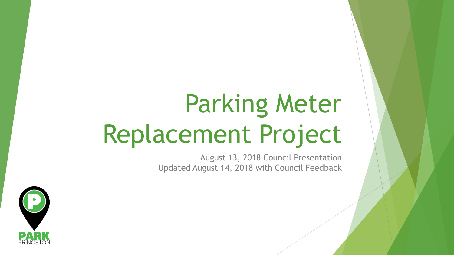# Parking Meter Replacement Project

August 13, 2018 Council Presentation Updated August 14, 2018 with Council Feedback

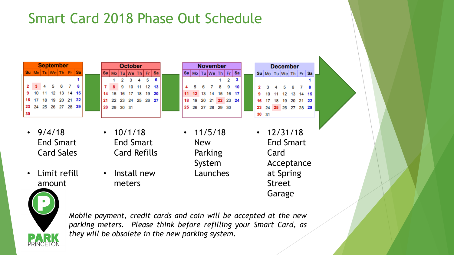### Smart Card 2018 Phase Out Schedule

| <b>September</b> |  |  |                                    |  |  |  |  |
|------------------|--|--|------------------------------------|--|--|--|--|
| Su               |  |  | $M_0$ Tu $W_e$ Th Fr $\mathbf{Sa}$ |  |  |  |  |
|                  |  |  |                                    |  |  |  |  |
| $\overline{2}$   |  |  | 4 5 6 7 8                          |  |  |  |  |
| 9                |  |  | 10 11 12 13 14 15                  |  |  |  |  |
| 16               |  |  | 17 18 19 20 21 22                  |  |  |  |  |
| 23               |  |  | 24  25  26  27  28  29             |  |  |  |  |
|                  |  |  |                                    |  |  |  |  |

- $9/4/18$ End Smart Card Sales
- Limit refill amount



 $\cdot$  10/1/18

End Smart

Card Refills

• Install new

meters

| November |    |    |                                                                                                    |   |    |    |
|----------|----|----|----------------------------------------------------------------------------------------------------|---|----|----|
|          |    |    | $\textsf{Su} \mid \textsf{Mo} \mid \textsf{Tu} \mid \textsf{We} \mid \textsf{Th} \mid \textsf{Fr}$ |   |    | Sa |
|          |    |    |                                                                                                    |   |    |    |
|          | 5  | 67 |                                                                                                    | 8 |    | 10 |
|          |    |    | 12 13 14 15 16 17                                                                                  |   |    |    |
|          | 19 |    | 20 21 22 23                                                                                        |   |    | 24 |
| 25       |    |    | 26 27 28 29                                                                                        |   | 30 |    |
|          |    |    |                                                                                                    |   |    |    |

- $\cdot$  11/5/18 New Parking System Launches
- 18 19 20 21 22 24 25 26 27 28 29 23 30 31  $\cdot$  12/31/18 End Smart Card

**December** 

Su Mo Tu We Th Fr Sa

Acceptance

at Spring

Street

Garage



*Mobile payment, credit cards and coin will be accepted at the new parking meters. Please think before refilling your Smart Card, as they will be obsolete in the new parking system.*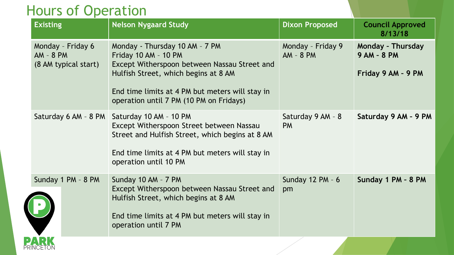#### Hours of Operation

| <b>Existing</b>                                        | <b>Nelson Nygaard Study</b>                                                                                                                                                                                                                  | <b>Dixon Proposed</b>            | <b>Council Approved</b><br>8/13/18                                   |
|--------------------------------------------------------|----------------------------------------------------------------------------------------------------------------------------------------------------------------------------------------------------------------------------------------------|----------------------------------|----------------------------------------------------------------------|
| Monday - Friday 6<br>AM - 8 PM<br>(8 AM typical start) | Monday - Thursday 10 AM - 7 PM<br>Friday 10 AM - 10 PM<br>Except Witherspoon between Nassau Street and<br>Hulfish Street, which begins at 8 AM<br>End time limits at 4 PM but meters will stay in<br>operation until 7 PM (10 PM on Fridays) | Monday - Friday 9<br>$AM - 8 PM$ | <b>Monday - Thursday</b><br><b>9 AM - 8 PM</b><br>Friday 9 AM - 9 PM |
|                                                        | Saturday 6 AM - 8 PM   Saturday 10 AM - 10 PM<br>Except Witherspoon Street between Nassau<br>Street and Hulfish Street, which begins at 8 AM<br>End time limits at 4 PM but meters will stay in<br>operation until 10 PM                     | Saturday 9 AM - 8<br><b>PM</b>   | Saturday 9 AM - 9 PM                                                 |
| Sunday 1 PM - 8 PM                                     | Sunday 10 AM - 7 PM<br>Except Witherspoon between Nassau Street and<br>Hulfish Street, which begins at 8 AM<br>End time limits at 4 PM but meters will stay in<br>operation until 7 PM                                                       | Sunday 12 PM - 6<br>pm           | Sunday 1 PM - 8 PM                                                   |
|                                                        |                                                                                                                                                                                                                                              |                                  |                                                                      |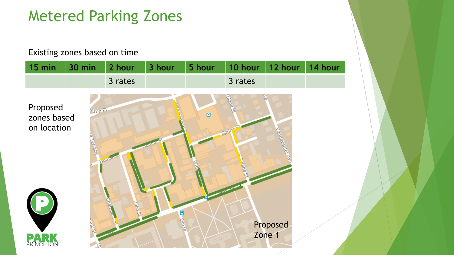### Metered Parking Zones

#### Existing zones based on time

| 15 min                                 | <b>30 min</b>                 | 2 hour      | 3 hour | 5 hour         | 10 hour                       | 12 hour            | 14 hour |
|----------------------------------------|-------------------------------|-------------|--------|----------------|-------------------------------|--------------------|---------|
|                                        |                               | 3 rates     |        |                | 3 rates                       |                    |         |
| Proposed<br>zones based<br>on location | e <sub>son</sub> pl<br>errace | FILINER     |        | $\blacksquare$ | <b>TIRARES</b><br><b>BDCE</b> | <b>Tandelonter</b> |         |
| C<br>PRINCETON                         | STAR                          | <b>DERK</b> | Ξ      |                |                               | Proposed<br>Zone 1 |         |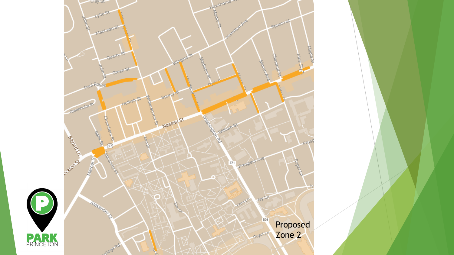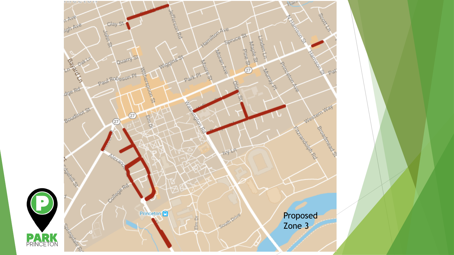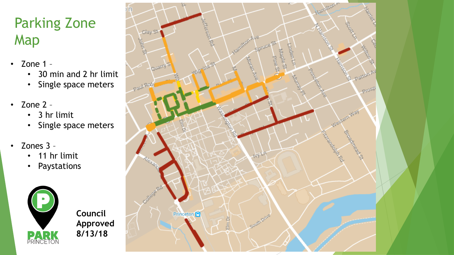### Parking Zone Map

- Zone 1
	- 30 min and 2 hr limit
	- Single space meters
- Zone 2
	- 3 hr limit
	- Single space meters
- Zones 3
	- 11 hr limit
	- Paystations



**Council Approved 8/13/18**

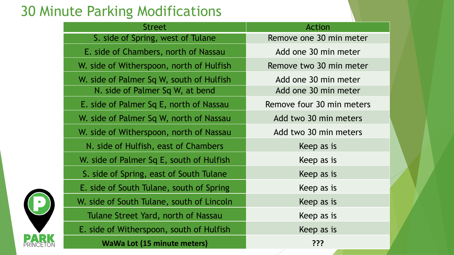### 30 Minute Parking Modifications

| <b>Street</b>                             | <b>Action</b>             |
|-------------------------------------------|---------------------------|
| S. side of Spring, west of Tulane         | Remove one 30 min meter   |
| E. side of Chambers, north of Nassau      | Add one 30 min meter      |
| W. side of Witherspoon, north of Hulfish  | Remove two 30 min meter   |
| W. side of Palmer Sq W, south of Hulfish  | Add one 30 min meter      |
| N. side of Palmer Sq W, at bend           | Add one 30 min meter      |
| E. side of Palmer Sq E, north of Nassau   | Remove four 30 min meters |
| W. side of Palmer Sq W, north of Nassau   | Add two 30 min meters     |
| W. side of Witherspoon, north of Nassau   | Add two 30 min meters     |
| N. side of Hulfish, east of Chambers      | Keep as is                |
| W. side of Palmer Sq E, south of Hulfish  | Keep as is                |
| S. side of Spring, east of South Tulane   | Keep as is                |
| E. side of South Tulane, south of Spring  | Keep as is                |
| W. side of South Tulane, south of Lincoln | Keep as is                |
| Tulane Street Yard, north of Nassau       | Keep as is                |
| E. side of Witherspoon, south of Hulfish  | Keep as is                |
| <b>WaWa Lot (15 minute meters)</b>        | ???                       |

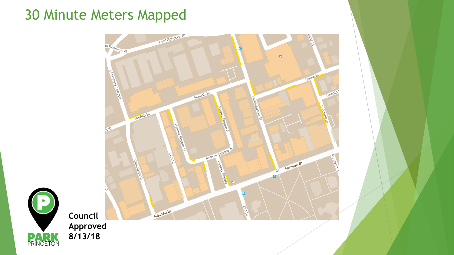### 30 Minute Meters Mapped





**Council Approved 8/13/18**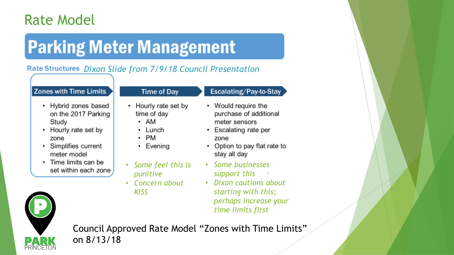### Rate Model

## **Parking Meter Management**

#### *Dixon Slide from 7/9/18 Council Presentation*

#### **Zones with Time Limits**

- Hybrid zones based on the 2017 Parking Study
- Hourly rate set by zone
- Simplifies current meter model
- Time limits can be set within each zone

#### **Time of Day**

#### Escalating/Pay-to-Stay

- Hourly rate set by time of day  $\cdot$  AM
	- Lunch
- $\cdot$  PM
- $\cdot$  Evening
- *Some feel this is punitive*
- *Concern about KISS*
- Would require the purchase of additional meter sensors
- Escalating rate per zone
- Option to pay flat rate to stay all day
- *Some businesses support this*
- *Dixon cautions about starting with this; perhaps increase your time limits first*



Council Approved Rate Model "Zones with Time Limits" on 8/13/18